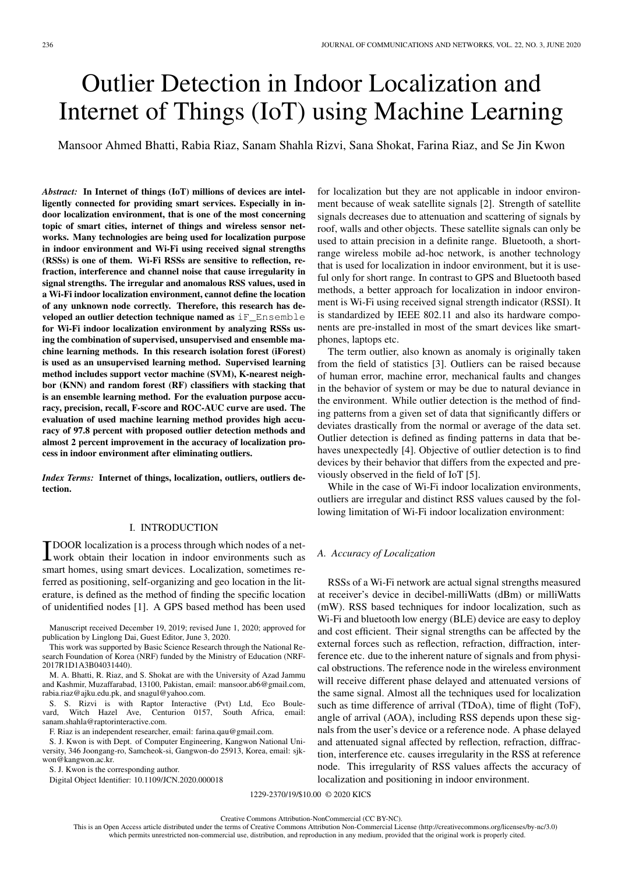# Outlier Detection in Indoor Localization and Internet of Things (IoT) using Machine Learning

Mansoor Ahmed Bhatti, Rabia Riaz, Sanam Shahla Rizvi, Sana Shokat, Farina Riaz, and Se Jin Kwon

*Abstract:* In Internet of things (IoT) millions of devices are intelligently connected for providing smart services. Especially in indoor localization environment, that is one of the most concerning topic of smart cities, internet of things and wireless sensor networks. Many technologies are being used for localization purpose in indoor environment and Wi-Fi using received signal strengths (RSSs) is one of them. Wi-Fi RSSs are sensitive to reflection, refraction, interference and channel noise that cause irregularity in signal strengths. The irregular and anomalous RSS values, used in a Wi-Fi indoor localization environment, cannot define the location of any unknown node correctly. Therefore, this research has developed an outlier detection technique named as iF\_Ensemble for Wi-Fi indoor localization environment by analyzing RSSs using the combination of supervised, unsupervised and ensemble machine learning methods. In this research isolation forest (iForest) is used as an unsupervised learning method. Supervised learning method includes support vector machine (SVM), K-nearest neighbor (KNN) and random forest (RF) classifiers with stacking that is an ensemble learning method. For the evaluation purpose accuracy, precision, recall, F-score and ROC-AUC curve are used. The evaluation of used machine learning method provides high accuracy of 97.8 percent with proposed outlier detection methods and almost 2 percent improvement in the accuracy of localization process in indoor environment after eliminating outliers.

*Index Terms:* Internet of things, localization, outliers, outliers detection.

# I. INTRODUCTION

**TDOOR** localization is a process through which nodes of a net-<br>work obtain their location in indoor environments such as DOOR localization is a process through which nodes of a netsmart homes, using smart devices. Localization, sometimes referred as positioning, self-organizing and geo location in the literature, is defined as the method of finding the specific location of unidentified nodes [1]. A GPS based method has been used

Manuscript received December 19, 2019; revised June 1, 2020; approved for publication by Linglong Dai, Guest Editor, June 3, 2020.

This work was supported by Basic Science Research through the National Research Foundation of Korea (NRF) funded by the Ministry of Education (NRF-2017R1D1A3B04031440).

M. A. Bhatti, R. Riaz, and S. Shokat are with the University of Azad Jammu and Kashmir, Muzaffarabad, 13100, Pakistan, email: mansoor.ab6@gmail.com, rabia.riaz@ajku.edu.pk, and snagul@yahoo.com.

S. S. Rizvi is with Raptor Interactive (Pvt) Ltd, Eco Boulevard, Witch Hazel Ave, Centurion 0157, South Africa, email: sanam.shahla@raptorinteractive.com.

F. Riaz is an independent researcher, email: farina.qau@gmail.com.

S. J. Kwon is with Dept. of Computer Engineering, Kangwon National University, 346 Joongang-ro, Samcheok-si, Gangwon-do 25913, Korea, email: sjkwon@kangwon.ac.kr.

S. J. Kwon is the corresponding author.

Digital Object Identifier: 10.1109/JCN.2020.000018

for localization but they are not applicable in indoor environment because of weak satellite signals [2]. Strength of satellite signals decreases due to attenuation and scattering of signals by roof, walls and other objects. These satellite signals can only be used to attain precision in a definite range. Bluetooth, a shortrange wireless mobile ad-hoc network, is another technology that is used for localization in indoor environment, but it is useful only for short range. In contrast to GPS and Bluetooth based methods, a better approach for localization in indoor environment is Wi-Fi using received signal strength indicator (RSSI). It is standardized by IEEE 802.11 and also its hardware components are pre-installed in most of the smart devices like smartphones, laptops etc.

The term outlier, also known as anomaly is originally taken from the field of statistics [3]. Outliers can be raised because of human error, machine error, mechanical faults and changes in the behavior of system or may be due to natural deviance in the environment. While outlier detection is the method of finding patterns from a given set of data that significantly differs or deviates drastically from the normal or average of the data set. Outlier detection is defined as finding patterns in data that behaves unexpectedly [4]. Objective of outlier detection is to find devices by their behavior that differs from the expected and previously observed in the field of IoT [5].

While in the case of Wi-Fi indoor localization environments, outliers are irregular and distinct RSS values caused by the following limitation of Wi-Fi indoor localization environment:

## *A. Accuracy of Localization*

RSSs of a Wi-Fi network are actual signal strengths measured at receiver's device in decibel-milliWatts (dBm) or milliWatts (mW). RSS based techniques for indoor localization, such as Wi-Fi and bluetooth low energy (BLE) device are easy to deploy and cost efficient. Their signal strengths can be affected by the external forces such as reflection, refraction, diffraction, interference etc. due to the inherent nature of signals and from physical obstructions. The reference node in the wireless environment will receive different phase delayed and attenuated versions of the same signal. Almost all the techniques used for localization such as time difference of arrival (TDoA), time of flight (ToF), angle of arrival (AOA), including RSS depends upon these signals from the user's device or a reference node. A phase delayed and attenuated signal affected by reflection, refraction, diffraction, interference etc. causes irregularity in the RSS at reference node. This irregularity of RSS values affects the accuracy of localization and positioning in indoor environment.

1229-2370/19/\$10.00 © 2020 KICS

This is an Open Access article distributed under the terms of Creative Commons Attribution Non-Commercial License (http://creativecommons.org/licenses/by-nc/3.0) which permits unrestricted non-commercial use, distribution, and reproduction in any medium, provided that the original work is properly cited.

Creative Commons Attribution-NonCommercial (CC BY-NC).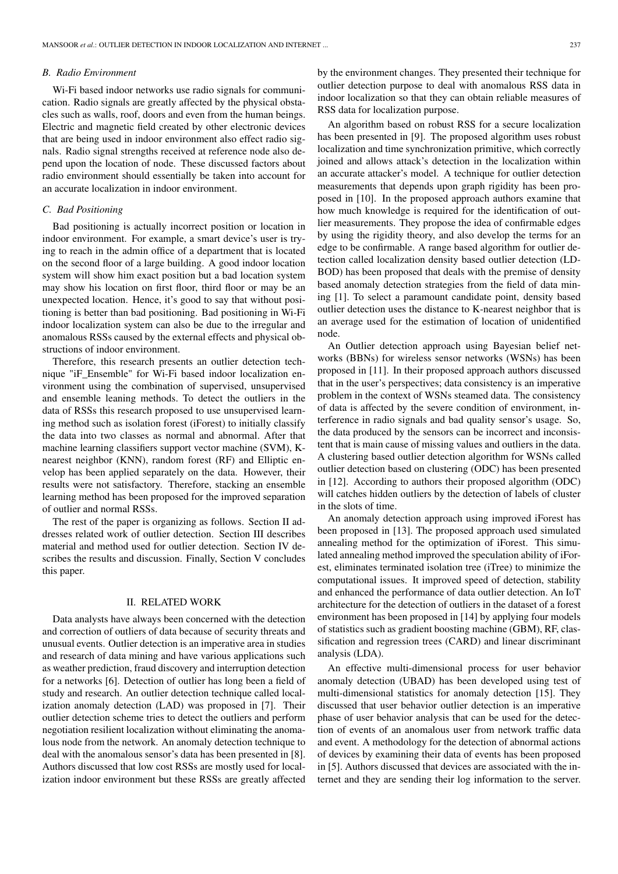#### *B. Radio Environment*

Wi-Fi based indoor networks use radio signals for communication. Radio signals are greatly affected by the physical obstacles such as walls, roof, doors and even from the human beings. Electric and magnetic field created by other electronic devices that are being used in indoor environment also effect radio signals. Radio signal strengths received at reference node also depend upon the location of node. These discussed factors about radio environment should essentially be taken into account for an accurate localization in indoor environment.

## *C. Bad Positioning*

Bad positioning is actually incorrect position or location in indoor environment. For example, a smart device's user is trying to reach in the admin office of a department that is located on the second floor of a large building. A good indoor location system will show him exact position but a bad location system may show his location on first floor, third floor or may be an unexpected location. Hence, it's good to say that without positioning is better than bad positioning. Bad positioning in Wi-Fi indoor localization system can also be due to the irregular and anomalous RSSs caused by the external effects and physical obstructions of indoor environment.

Therefore, this research presents an outlier detection technique "iF\_Ensemble" for Wi-Fi based indoor localization environment using the combination of supervised, unsupervised and ensemble leaning methods. To detect the outliers in the data of RSSs this research proposed to use unsupervised learning method such as isolation forest (iForest) to initially classify the data into two classes as normal and abnormal. After that machine learning classifiers support vector machine (SVM), Knearest neighbor (KNN), random forest (RF) and Elliptic envelop has been applied separately on the data. However, their results were not satisfactory. Therefore, stacking an ensemble learning method has been proposed for the improved separation of outlier and normal RSSs.

The rest of the paper is organizing as follows. Section II addresses related work of outlier detection. Section III describes material and method used for outlier detection. Section IV describes the results and discussion. Finally, Section V concludes this paper.

#### II. RELATED WORK

Data analysts have always been concerned with the detection and correction of outliers of data because of security threats and unusual events. Outlier detection is an imperative area in studies and research of data mining and have various applications such as weather prediction, fraud discovery and interruption detection for a networks [6]. Detection of outlier has long been a field of study and research. An outlier detection technique called localization anomaly detection (LAD) was proposed in [7]. Their outlier detection scheme tries to detect the outliers and perform negotiation resilient localization without eliminating the anomalous node from the network. An anomaly detection technique to deal with the anomalous sensor's data has been presented in [8]. Authors discussed that low cost RSSs are mostly used for localization indoor environment but these RSSs are greatly affected by the environment changes. They presented their technique for outlier detection purpose to deal with anomalous RSS data in indoor localization so that they can obtain reliable measures of RSS data for localization purpose.

An algorithm based on robust RSS for a secure localization has been presented in [9]. The proposed algorithm uses robust localization and time synchronization primitive, which correctly joined and allows attack's detection in the localization within an accurate attacker's model. A technique for outlier detection measurements that depends upon graph rigidity has been proposed in [10]. In the proposed approach authors examine that how much knowledge is required for the identification of outlier measurements. They propose the idea of confirmable edges by using the rigidity theory, and also develop the terms for an edge to be confirmable. A range based algorithm for outlier detection called localization density based outlier detection (LD-BOD) has been proposed that deals with the premise of density based anomaly detection strategies from the field of data mining [1]. To select a paramount candidate point, density based outlier detection uses the distance to K-nearest neighbor that is an average used for the estimation of location of unidentified node.

An Outlier detection approach using Bayesian belief networks (BBNs) for wireless sensor networks (WSNs) has been proposed in [11]. In their proposed approach authors discussed that in the user's perspectives; data consistency is an imperative problem in the context of WSNs steamed data. The consistency of data is affected by the severe condition of environment, interference in radio signals and bad quality sensor's usage. So, the data produced by the sensors can be incorrect and inconsistent that is main cause of missing values and outliers in the data. A clustering based outlier detection algorithm for WSNs called outlier detection based on clustering (ODC) has been presented in [12]. According to authors their proposed algorithm (ODC) will catches hidden outliers by the detection of labels of cluster in the slots of time.

An anomaly detection approach using improved iForest has been proposed in [13]. The proposed approach used simulated annealing method for the optimization of iForest. This simulated annealing method improved the speculation ability of iForest, eliminates terminated isolation tree (iTree) to minimize the computational issues. It improved speed of detection, stability and enhanced the performance of data outlier detection. An IoT architecture for the detection of outliers in the dataset of a forest environment has been proposed in [14] by applying four models of statistics such as gradient boosting machine (GBM), RF, classification and regression trees (CARD) and linear discriminant analysis (LDA).

An effective multi-dimensional process for user behavior anomaly detection (UBAD) has been developed using test of multi-dimensional statistics for anomaly detection [15]. They discussed that user behavior outlier detection is an imperative phase of user behavior analysis that can be used for the detection of events of an anomalous user from network traffic data and event. A methodology for the detection of abnormal actions of devices by examining their data of events has been proposed in [5]. Authors discussed that devices are associated with the internet and they are sending their log information to the server.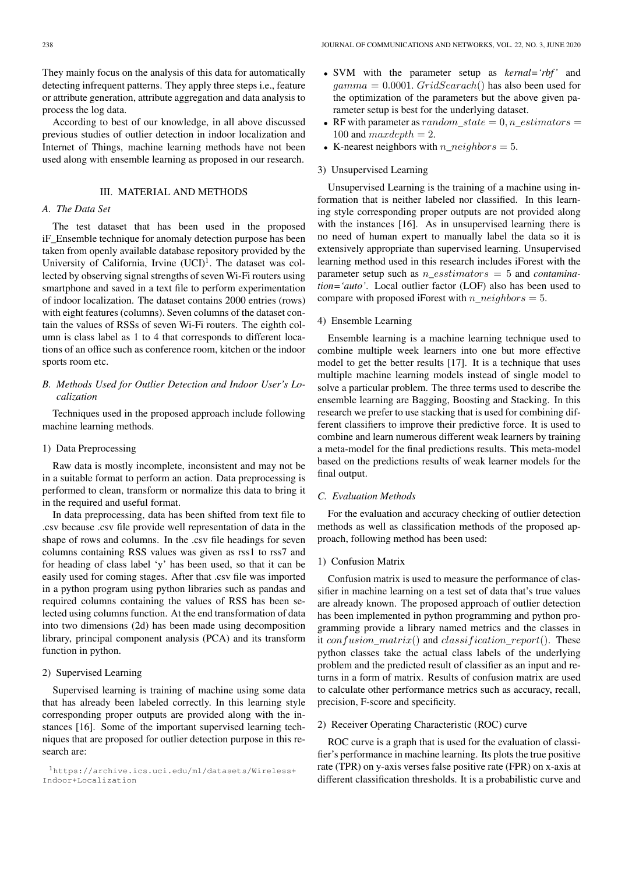They mainly focus on the analysis of this data for automatically detecting infrequent patterns. They apply three steps i.e., feature or attribute generation, attribute aggregation and data analysis to process the log data.

According to best of our knowledge, in all above discussed previous studies of outlier detection in indoor localization and Internet of Things, machine learning methods have not been used along with ensemble learning as proposed in our research.

## III. MATERIAL AND METHODS

## *A. The Data Set*

The test dataset that has been used in the proposed iF\_Ensemble technique for anomaly detection purpose has been taken from openly available database repository provided by the University of California, Irvine  $(UCI)^{1}$ . The dataset was collected by observing signal strengths of seven Wi-Fi routers using smartphone and saved in a text file to perform experimentation of indoor localization. The dataset contains 2000 entries (rows) with eight features (columns). Seven columns of the dataset contain the values of RSSs of seven Wi-Fi routers. The eighth column is class label as 1 to 4 that corresponds to different locations of an office such as conference room, kitchen or the indoor sports room etc.

# *B. Methods Used for Outlier Detection and Indoor User's Localization*

Techniques used in the proposed approach include following machine learning methods.

#### 1) Data Preprocessing

Raw data is mostly incomplete, inconsistent and may not be in a suitable format to perform an action. Data preprocessing is performed to clean, transform or normalize this data to bring it in the required and useful format.

In data preprocessing, data has been shifted from text file to .csv because .csv file provide well representation of data in the shape of rows and columns. In the .csv file headings for seven columns containing RSS values was given as rss1 to rss7 and for heading of class label 'y' has been used, so that it can be easily used for coming stages. After that .csv file was imported in a python program using python libraries such as pandas and required columns containing the values of RSS has been selected using columns function. At the end transformation of data into two dimensions (2d) has been made using decomposition library, principal component analysis (PCA) and its transform function in python.

#### 2) Supervised Learning

Supervised learning is training of machine using some data that has already been labeled correctly. In this learning style corresponding proper outputs are provided along with the instances [16]. Some of the important supervised learning techniques that are proposed for outlier detection purpose in this research are:

- SVM with the parameter setup as *kernal='rbf'* and  $gamma = 0.0001$ . GridSearach() has also been used for the optimization of the parameters but the above given parameter setup is best for the underlying dataset.
- RF with parameter as random state  $= 0, n$  estimators  $=$ 100 and  $maxdepth = 2$ .
- K-nearest neighbors with  $n\_neighbors = 5$ .

## 3) Unsupervised Learning

Unsupervised Learning is the training of a machine using information that is neither labeled nor classified. In this learning style corresponding proper outputs are not provided along with the instances [16]. As in unsupervised learning there is no need of human expert to manually label the data so it is extensively appropriate than supervised learning. Unsupervised learning method used in this research includes iForest with the parameter setup such as n\_esstimators = 5 and *contamination='auto'*. Local outlier factor (LOF) also has been used to compare with proposed iForest with n\_neighbors = 5.

#### 4) Ensemble Learning

Ensemble learning is a machine learning technique used to combine multiple week learners into one but more effective model to get the better results [17]. It is a technique that uses multiple machine learning models instead of single model to solve a particular problem. The three terms used to describe the ensemble learning are Bagging, Boosting and Stacking. In this research we prefer to use stacking that is used for combining different classifiers to improve their predictive force. It is used to combine and learn numerous different weak learners by training a meta-model for the final predictions results. This meta-model based on the predictions results of weak learner models for the final output.

## *C. Evaluation Methods*

For the evaluation and accuracy checking of outlier detection methods as well as classification methods of the proposed approach, following method has been used:

## 1) Confusion Matrix

Confusion matrix is used to measure the performance of classifier in machine learning on a test set of data that's true values are already known. The proposed approach of outlier detection has been implemented in python programming and python programming provide a library named metrics and the classes in it  $confusion_matrix()$  and  $classification\_report()$ . These python classes take the actual class labels of the underlying problem and the predicted result of classifier as an input and returns in a form of matrix. Results of confusion matrix are used to calculate other performance metrics such as accuracy, recall, precision, F-score and specificity.

## 2) Receiver Operating Characteristic (ROC) curve

ROC curve is a graph that is used for the evaluation of classifier's performance in machine learning. Its plots the true positive rate (TPR) on y-axis verses false positive rate (FPR) on x-axis at different classification thresholds. It is a probabilistic curve and

<sup>1</sup>https://archive.ics.uci.edu/ml/datasets/Wireless+ Indoor+Localization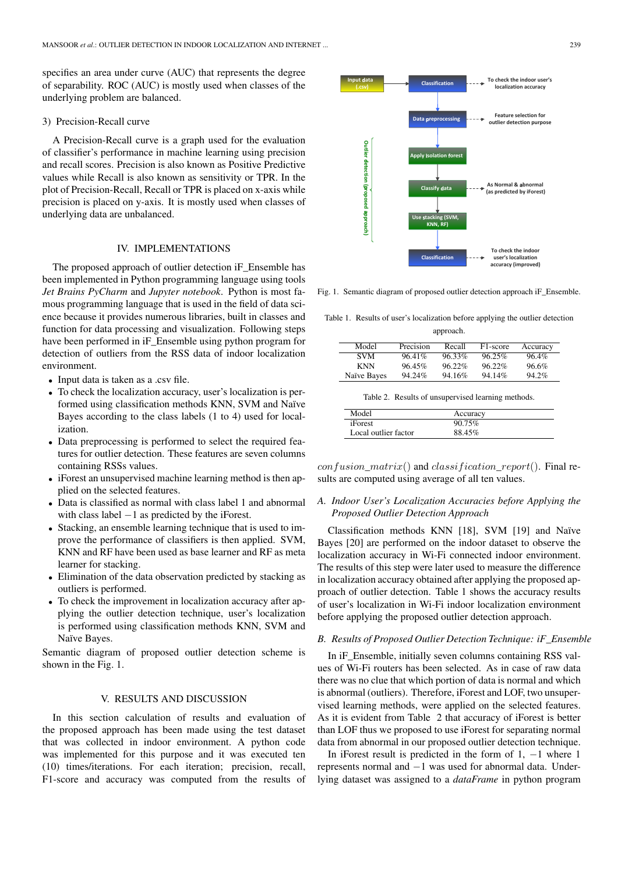specifies an area under curve (AUC) that represents the degree of separability. ROC (AUC) is mostly used when classes of the underlying problem are balanced.

### 3) Precision-Recall curve

A Precision-Recall curve is a graph used for the evaluation of classifier's performance in machine learning using precision and recall scores. Precision is also known as Positive Predictive values while Recall is also known as sensitivity or TPR. In the plot of Precision-Recall, Recall or TPR is placed on x-axis while precision is placed on y-axis. It is mostly used when classes of underlying data are unbalanced.

# IV. IMPLEMENTATIONS

The proposed approach of outlier detection iF\_Ensemble has been implemented in Python programming language using tools *Jet Brains PyCharm* and *Jupyter notebook*. Python is most famous programming language that is used in the field of data science because it provides numerous libraries, built in classes and function for data processing and visualization. Following steps have been performed in iF\_Ensemble using python program for detection of outliers from the RSS data of indoor localization environment.

- Input data is taken as a .csv file.
- To check the localization accuracy, user's localization is performed using classification methods KNN, SVM and Naïve Bayes according to the class labels (1 to 4) used for localization.
- Data preprocessing is performed to select the required features for outlier detection. These features are seven columns containing RSSs values.
- iForest an unsupervised machine learning method is then applied on the selected features.
- Data is classified as normal with class label 1 and abnormal with class label −1 as predicted by the iForest.
- Stacking, an ensemble learning technique that is used to improve the performance of classifiers is then applied. SVM, KNN and RF have been used as base learner and RF as meta learner for stacking.
- Elimination of the data observation predicted by stacking as outliers is performed.
- To check the improvement in localization accuracy after applying the outlier detection technique, user's localization is performed using classification methods KNN, SVM and Naïve Bayes.

Semantic diagram of proposed outlier detection scheme is shown in the Fig. 1.

# V. RESULTS AND DISCUSSION

In this section calculation of results and evaluation of the proposed approach has been made using the test dataset that was collected in indoor environment. A python code was implemented for this purpose and it was executed ten (10) times/iterations. For each iteration; precision, recall, F1-score and accuracy was computed from the results of



Fig. 1. Semantic diagram of proposed outlier detection approach iF\_Ensemble.

Table 1. Results of user's localization before applying the outlier detection approach.

| Model       | Precision | Recall    | F <sub>1</sub> -score | Accuracy |
|-------------|-----------|-----------|-----------------------|----------|
| SVM         | $96.41\%$ | $96.33\%$ | $96.25\%$             | 96.4%    |
| KNN         | $96.45\%$ | $96.22\%$ | $96.22\%$             | $96.6\%$ |
| Naïve Bayes | 94.24%    | 94.16%    | 94.14%                | 94.2%    |
|             |           |           |                       |          |

Table 2. Results of unsupervised learning methods.

| Model                | Accuracy  |  |
|----------------------|-----------|--|
| <i>iForest</i>       | $90.75\%$ |  |
| Local outlier factor | 88.45%    |  |

 $confusion\_matrix()$  and  $classification\_report()$ . Final results are computed using average of all ten values.

# *A. Indoor User's Localization Accuracies before Applying the Proposed Outlier Detection Approach*

Classification methods KNN [18], SVM [19] and Naïve Bayes [20] are performed on the indoor dataset to observe the localization accuracy in Wi-Fi connected indoor environment. The results of this step were later used to measure the difference in localization accuracy obtained after applying the proposed approach of outlier detection. Table 1 shows the accuracy results of user's localization in Wi-Fi indoor localization environment before applying the proposed outlier detection approach.

#### *B. Results of Proposed Outlier Detection Technique: iF\_Ensemble*

In iF\_Ensemble, initially seven columns containing RSS values of Wi-Fi routers has been selected. As in case of raw data there was no clue that which portion of data is normal and which is abnormal (outliers). Therefore, iForest and LOF, two unsupervised learning methods, were applied on the selected features. As it is evident from Table 2 that accuracy of iForest is better than LOF thus we proposed to use iForest for separating normal data from abnormal in our proposed outlier detection technique.

In iForest result is predicted in the form of 1,  $-1$  where 1 represents normal and −1 was used for abnormal data. Underlying dataset was assigned to a *dataFrame* in python program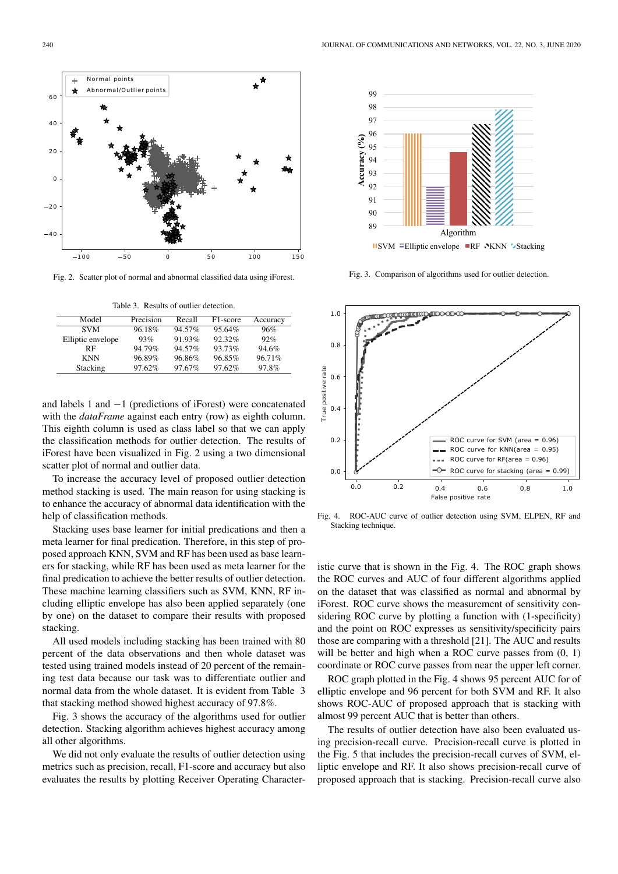and labels 1 and −1 (predictions of iForest) were concatenated with the *dataFrame* against each entry (row) as eighth column. This eighth column is used as class label so that we can apply the classification methods for outlier detection. The results of iForest have been visualized in Fig. 2 using a two dimensional

To increase the accuracy level of proposed outlier detection method stacking is used. The main reason for using stacking is to enhance the accuracy of abnormal data identification with the help of classification methods.

scatter plot of normal and outlier data.

Stacking uses base learner for initial predications and then a meta learner for final predication. Therefore, in this step of proposed approach KNN, SVM and RF has been used as base learners for stacking, while RF has been used as meta learner for the final predication to achieve the better results of outlier detection. These machine learning classifiers such as SVM, KNN, RF including elliptic envelope has also been applied separately (one by one) on the dataset to compare their results with proposed stacking.

All used models including stacking has been trained with 80 percent of the data observations and then whole dataset was tested using trained models instead of 20 percent of the remaining test data because our task was to differentiate outlier and normal data from the whole dataset. It is evident from Table 3 that stacking method showed highest accuracy of 97.8%.

Fig. 3 shows the accuracy of the algorithms used for outlier detection. Stacking algorithm achieves highest accuracy among all other algorithms.

We did not only evaluate the results of outlier detection using metrics such as precision, recall, F1-score and accuracy but also evaluates the results by plotting Receiver Operating CharacterFig. 4. ROC-AUC curve of outlier detection using SVM, ELPEN, RF and Stacking technique.

istic curve that is shown in the Fig. 4. The ROC graph shows the ROC curves and AUC of four different algorithms applied on the dataset that was classified as normal and abnormal by iForest. ROC curve shows the measurement of sensitivity considering ROC curve by plotting a function with (1-specificity) and the point on ROC expresses as sensitivity/specificity pairs those are comparing with a threshold [21]. The AUC and results will be better and high when a ROC curve passes from  $(0, 1)$ coordinate or ROC curve passes from near the upper left corner.

ROC graph plotted in the Fig. 4 shows 95 percent AUC for of elliptic envelope and 96 percent for both SVM and RF. It also shows ROC-AUC of proposed approach that is stacking with almost 99 percent AUC that is better than others.

The results of outlier detection have also been evaluated using precision-recall curve. Precision-recall curve is plotted in the Fig. 5 that includes the precision-recall curves of SVM, elliptic envelope and RF. It also shows precision-recall curve of proposed approach that is stacking. Precision-recall curve also



**Accuracy (%)**

Accuracy (%)



Fig. 2. Scatter plot of normal and abnormal classified data using iForest.

Table 3. Results of outlier detection.

Elliptic envelope  $93\%$  91.93% 92.32% 92%<br>RF 94.79% 94.57% 93.73% 94.6% RF 94.79% 94.57% 93.73% 94.6%<br>KNN 96.89% 96.86% 96.85% 96.71% KNN 96.89% 96.86% 96.85% 96.71%<br>Stacking 97.62% 97.67% 97.62% 97.8% Stacking 97.62% 97.67% 97.62% 97.8%

Model Precision Recall F1-score Accuracy<br>SVM 96.18% 94.57% 95.64% 96%

 $95.64%$ 

Fig. 3. Comparison of algorithms used for outlier detection.

Algorithm **USVM FElliptic envelope RF NKNN Stacking** 

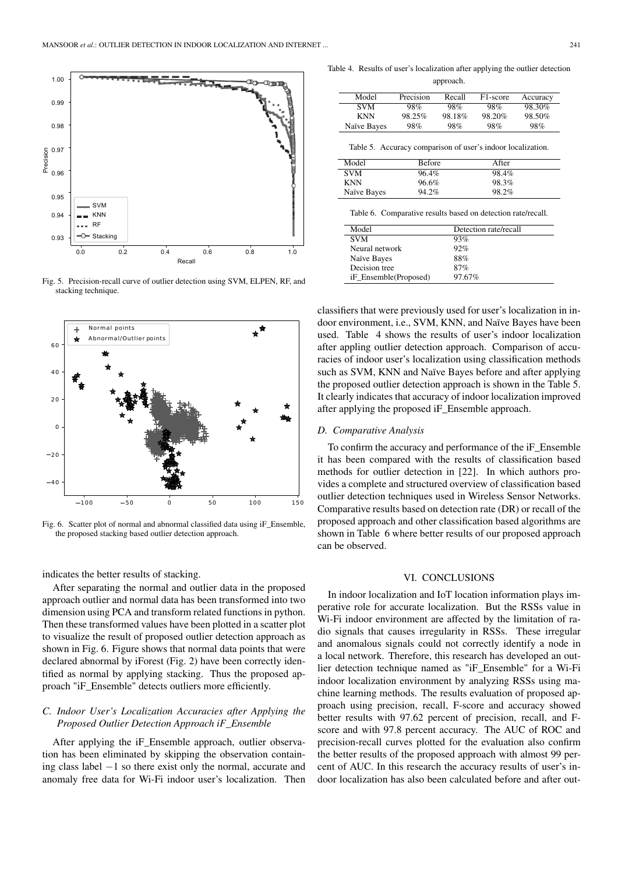

Fig. 5. Precision-recall curve of outlier detection using SVM, ELPEN, RF, and stacking technique.



Fig. 6. Scatter plot of normal and abnormal classified data using iF\_Ensemble, the proposed stacking based outlier detection approach.

indicates the better results of stacking.

After separating the normal and outlier data in the proposed approach outlier and normal data has been transformed into two dimension using PCA and transform related functions in python. Then these transformed values have been plotted in a scatter plot to visualize the result of proposed outlier detection approach as shown in Fig. 6. Figure shows that normal data points that were declared abnormal by iForest (Fig. 2) have been correctly identified as normal by applying stacking. Thus the proposed approach "iF\_Ensemble" detects outliers more efficiently.

# *C. Indoor User's Localization Accuracies after Applying the Proposed Outlier Detection Approach iF\_Ensemble*

After applying the iF\_Ensemble approach, outlier observation has been eliminated by skipping the observation containing class label −1 so there exist only the normal, accurate and anomaly free data for Wi-Fi indoor user's localization. Then

Table 4. Results of user's localization after applying the outlier detection

| Precision | Recall | F <sub>1</sub> -score | Accuracy |
|-----------|--------|-----------------------|----------|
| 98%       | 98%    | 98%                   | 98.30%   |
| 98.25%    | 98.18% | 98.20%                | 98.50%   |
| 98%       | 98%    | 98%                   | 98%      |
|           |        |                       |          |

| Model       | Before | Affer |  |
|-------------|--------|-------|--|
| <b>SVM</b>  | 96.4%  | 98.4% |  |
| KNN         | 96.6%  | 98.3% |  |
| Naïve Bayes | 94.2%  | 98.2% |  |
|             |        |       |  |

Table 6. Comparative results based on detection rate/recall.

| Model                 | Detection rate/recall |
|-----------------------|-----------------------|
| <b>SVM</b>            | 93%                   |
| Neural network        | 92%                   |
| Naïve Bayes           | 88%                   |
| Decision tree         | 87%                   |
| iF_Ensemble(Proposed) | 97.67%                |

classifiers that were previously used for user's localization in indoor environment, i.e., SVM, KNN, and Naïve Bayes have been used. Table 4 shows the results of user's indoor localization after appling outlier detection approach. Comparison of accuracies of indoor user's localization using classification methods such as SVM, KNN and Naïve Bayes before and after applying the proposed outlier detection approach is shown in the Table 5. It clearly indicates that accuracy of indoor localization improved after applying the proposed iF\_Ensemble approach.

#### *D. Comparative Analysis*

To confirm the accuracy and performance of the iF\_Ensemble it has been compared with the results of classification based methods for outlier detection in [22]. In which authors provides a complete and structured overview of classification based outlier detection techniques used in Wireless Sensor Networks. Comparative results based on detection rate (DR) or recall of the proposed approach and other classification based algorithms are shown in Table 6 where better results of our proposed approach can be observed.

## VI. CONCLUSIONS

In indoor localization and IoT location information plays imperative role for accurate localization. But the RSSs value in Wi-Fi indoor environment are affected by the limitation of radio signals that causes irregularity in RSSs. These irregular and anomalous signals could not correctly identify a node in a local network. Therefore, this research has developed an outlier detection technique named as "iF\_Ensemble" for a Wi-Fi indoor localization environment by analyzing RSSs using machine learning methods. The results evaluation of proposed approach using precision, recall, F-score and accuracy showed better results with 97.62 percent of precision, recall, and Fscore and with 97.8 percent accuracy. The AUC of ROC and precision-recall curves plotted for the evaluation also confirm the better results of the proposed approach with almost 99 percent of AUC. In this research the accuracy results of user's indoor localization has also been calculated before and after out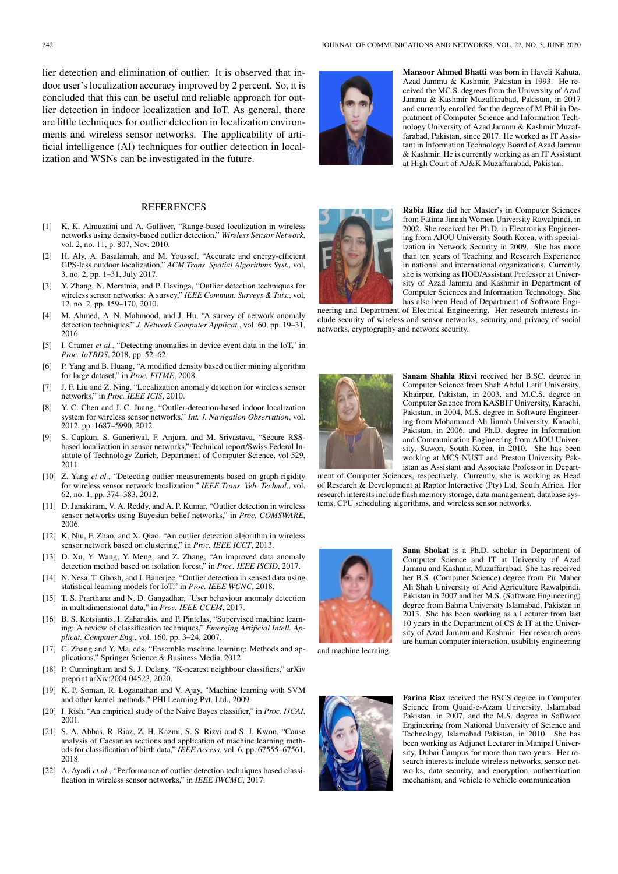lier detection and elimination of outlier. It is observed that indoor user's localization accuracy improved by 2 percent. So, it is concluded that this can be useful and reliable approach for outlier detection in indoor localization and IoT. As general, there are little techniques for outlier detection in localization environments and wireless sensor networks. The applicability of artificial intelligence (AI) techniques for outlier detection in localization and WSNs can be investigated in the future.

#### **REFERENCES**

- [1] K. K. Almuzaini and A. Gulliver, "Range-based localization in wireless networks using density-based outlier detection," *Wireless Sensor Network*, vol. 2, no. 11, p. 807, Nov. 2010.
- [2] H. Aly, A. Basalamah, and M. Youssef, "Accurate and energy-efficient GPS-less outdoor localization," *ACM Trans. Spatial Algorithms Syst.,* vol, 3, no. 2, pp. 1–31, July 2017.
- [3] Y. Zhang, N. Meratnia, and P. Havinga, "Outlier detection techniques for wireless sensor networks: A survey," *IEEE Commun. Surveys & Tuts.*, vol, 12. no. 2, pp. 159–170, 2010.
- [4] M. Ahmed, A. N. Mahmood, and J. Hu, "A survey of network anomaly detection techniques," *J. Network Computer Applicat.*, vol. 60, pp. 19–31, 2016.
- [5] I. Cramer *et al.*, "Detecting anomalies in device event data in the IoT," in *Proc. IoTBDS*, 2018, pp. 52–62.
- [6] P. Yang and B. Huang, "A modified density based outlier mining algorithm for large dataset," in *Proc. FITME*, 2008.
- [7] J. F. Liu and Z. Ning, "Localization anomaly detection for wireless sensor networks," in *Proc. IEEE ICIS*, 2010.
- [8] Y. C. Chen and J. C. Juang, "Outlier-detection-based indoor localization system for wireless sensor networks," *Int. J. Navigation Observation*, vol. 2012, pp. 1687–5990, 2012.
- [9] S. Capkun, S. Ganeriwal, F. Anjum, and M. Srivastava, "Secure RSSbased localization in sensor networks," Technical report/Swiss Federal Institute of Technology Zurich, Department of Computer Science, vol 529, 2011.
- [10] Z. Yang et al., "Detecting outlier measurements based on graph rigidity for wireless sensor network localization," *IEEE Trans. Veh. Technol.*, vol. 62, no. 1, pp. 374–383, 2012.
- [11] D. Janakiram, V. A. Reddy, and A. P. Kumar, "Outlier detection in wireless sensor networks using Bayesian belief networks," in *Proc. COMSWARE*, 2006.
- [12] K. Niu, F. Zhao, and X. Qiao, "An outlier detection algorithm in wireless sensor network based on clustering," in *Proc. IEEE ICCT*, 2013.
- [13] D. Xu, Y. Wang, Y. Meng, and Z. Zhang, "An improved data anomaly detection method based on isolation forest," in *Proc. IEEE ISCID*, 2017.
- [14] N. Nesa, T. Ghosh, and I. Banerjee, "Outlier detection in sensed data using statistical learning models for IoT," in *Proc. IEEE WCNC*, 2018.
- [15] T. S. Prarthana and N. D. Gangadhar, "User behaviour anomaly detection in multidimensional data," in *Proc. IEEE CCEM*, 2017.
- [16] B. S. Kotsiantis, I. Zaharakis, and P. Pintelas, "Supervised machine learning: A review of classification techniques," *Emerging Artificial Intell. Applicat. Computer Eng.*, vol. 160, pp. 3–24, 2007.
- [17] C. Zhang and Y. Ma, eds. "Ensemble machine learning: Methods and applications," Springer Science & Business Media, 2012
- [18] P. Cunningham and S. J. Delany. "K-nearest neighbour classifiers," arXiv preprint arXiv:2004.04523, 2020.
- [19] K. P. Soman, R. Loganathan and V. Ajay, "Machine learning with SVM and other kernel methods," PHI Learning Pvt. Ltd., 2009.
- [20] I. Rish, "An empirical study of the Naive Bayes classifier," in *Proc. IJCAI*, 2001.
- [21] S. A. Abbas, R. Riaz, Z. H. Kazmi, S. S. Rizvi and S. J. Kwon, "Cause analysis of Caesarian sections and application of machine learning methods for classification of birth data," *IEEE Access*, vol. 6, pp. 67555–67561, 2018.
- [22] A. Ayadi *et al*., "Performance of outlier detection techniques based classification in wireless sensor networks," in *IEEE IWCMC*, 2017.



Mansoor Ahmed Bhatti was born in Haveli Kahuta, Azad Jammu & Kashmir, Pakistan in 1993. He received the MC.S. degrees from the University of Azad Jammu & Kashmir Muzaffarabad, Pakistan, in 2017 and currently enrolled for the degree of M.Phil in Depratment of Computer Science and Information Technology University of Azad Jammu & Kashmir Muzaffarabad, Pakistan, since 2017. He worked as IT Assistant in Information Technology Board of Azad Jammu & Kashmir. He is currently working as an IT Assistant at High Court of AJ&K Muzaffarabad, Pakistan.



Rabia Riaz did her Master's in Computer Sciences from Fatima Jinnah Women University Rawalpindi, in 2002. She received her Ph.D. in Electronics Engineering from AJOU University South Korea, with specialization in Network Security in 2009. She has more than ten years of Teaching and Research Experience in national and international organizations. Currently she is working as HOD/Assistant Professor at University of Azad Jammu and Kashmir in Department of Computer Sciences and Information Technology. She has also been Head of Department of Software Engi-

neering and Department of Electrical Engineering. Her research interests include security of wireless and sensor networks, security and privacy of social networks, cryptography and network security.



Sanam Shahla Rizvi received her B.SC. degree in Computer Science from Shah Abdul Latif University, Khairpur, Pakistan, in 2003, and M.C.S. degree in Computer Science from KASBIT University, Karachi, Pakistan, in 2004, M.S. degree in Software Engineering from Mohammad Ali Jinnah University, Karachi, Pakistan, in 2006, and Ph.D. degree in Information and Communication Engineering from AJOU University, Suwon, South Korea, in 2010. She has been working at MCS NUST and Preston University Pakistan as Assistant and Associate Professor in Depart-

ment of Computer Sciences, respectively. Currently, she is working as Head of Research & Development at Raptor Interactive (Pty) Ltd, South Africa. Her research interests include flash memory storage, data management, database systems, CPU scheduling algorithms, and wireless sensor networks.



Sana Shokat is a Ph.D. scholar in Department of Computer Science and IT at University of Azad Jammu and Kashmir, Muzaffarabad. She has received her B.S. (Computer Science) degree from Pir Maher Ali Shah University of Arid Agriculture Rawalpindi, Pakistan in 2007 and her M.S. (Software Engineering) degree from Bahria University Islamabad, Pakistan in 2013. She has been working as a Lecturer from last 10 years in the Department of CS & IT at the University of Azad Jammu and Kashmir. Her research areas are human computer interaction, usability engineering

and machine learning.



Farina Riaz received the BSCS degree in Computer Science from Quaid-e-Azam University, Islamabad Pakistan, in 2007, and the M.S. degree in Software Engineering from National University of Science and Technology, Islamabad Pakistan, in 2010. She has been working as Adjunct Lecturer in Manipal University, Dubai Campus for more than two years. Her research interests include wireless networks, sensor networks, data security, and encryption, authentication mechanism, and vehicle to vehicle communication